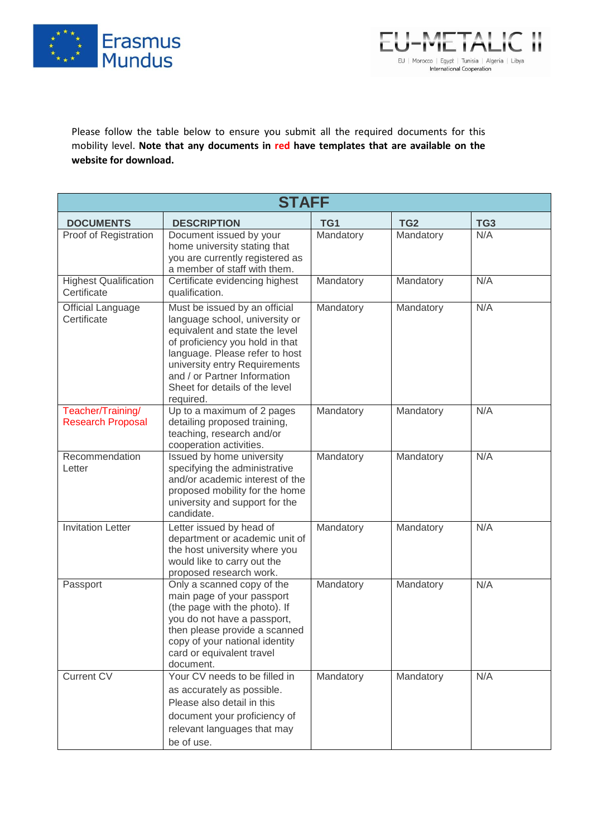



Please follow the table below to ensure you submit all the required documents for this mobility level. **Note that any documents in red have templates that are available on the website for download.**

| <b>STAFF</b>                                  |                                                                                                                                                                                                                                                                                        |           |                 |                 |  |  |
|-----------------------------------------------|----------------------------------------------------------------------------------------------------------------------------------------------------------------------------------------------------------------------------------------------------------------------------------------|-----------|-----------------|-----------------|--|--|
| <b>DOCUMENTS</b>                              | <b>DESCRIPTION</b>                                                                                                                                                                                                                                                                     | TG1       | TG <sub>2</sub> | TG <sub>3</sub> |  |  |
| Proof of Registration                         | Document issued by your<br>home university stating that<br>you are currently registered as<br>a member of staff with them.                                                                                                                                                             | Mandatory | Mandatory       | N/A             |  |  |
| <b>Highest Qualification</b><br>Certificate   | Certificate evidencing highest<br>qualification.                                                                                                                                                                                                                                       | Mandatory | Mandatory       | N/A             |  |  |
| <b>Official Language</b><br>Certificate       | Must be issued by an official<br>language school, university or<br>equivalent and state the level<br>of proficiency you hold in that<br>language. Please refer to host<br>university entry Requirements<br>and / or Partner Information<br>Sheet for details of the level<br>required. | Mandatory | Mandatory       | N/A             |  |  |
| Teacher/Training/<br><b>Research Proposal</b> | Up to a maximum of 2 pages<br>detailing proposed training,<br>teaching, research and/or<br>cooperation activities.                                                                                                                                                                     | Mandatory | Mandatory       | N/A             |  |  |
| Recommendation<br>Letter                      | Issued by home university<br>specifying the administrative<br>and/or academic interest of the<br>proposed mobility for the home<br>university and support for the<br>candidate.                                                                                                        | Mandatory | Mandatory       | N/A             |  |  |
| <b>Invitation Letter</b>                      | Letter issued by head of<br>department or academic unit of<br>the host university where you<br>would like to carry out the<br>proposed research work.                                                                                                                                  | Mandatory | Mandatory       | N/A             |  |  |
| Passport                                      | Only a scanned copy of the<br>main page of your passport<br>(the page with the photo). If<br>you do not have a passport,<br>then please provide a scanned<br>copy of your national identity<br>card or equivalent travel<br>document.                                                  | Mandatory | Mandatory       | N/A             |  |  |
| Current CV                                    | Your CV needs to be filled in<br>as accurately as possible.<br>Please also detail in this<br>document your proficiency of<br>relevant languages that may<br>be of use.                                                                                                                 | Mandatory | Mandatory       | N/A             |  |  |